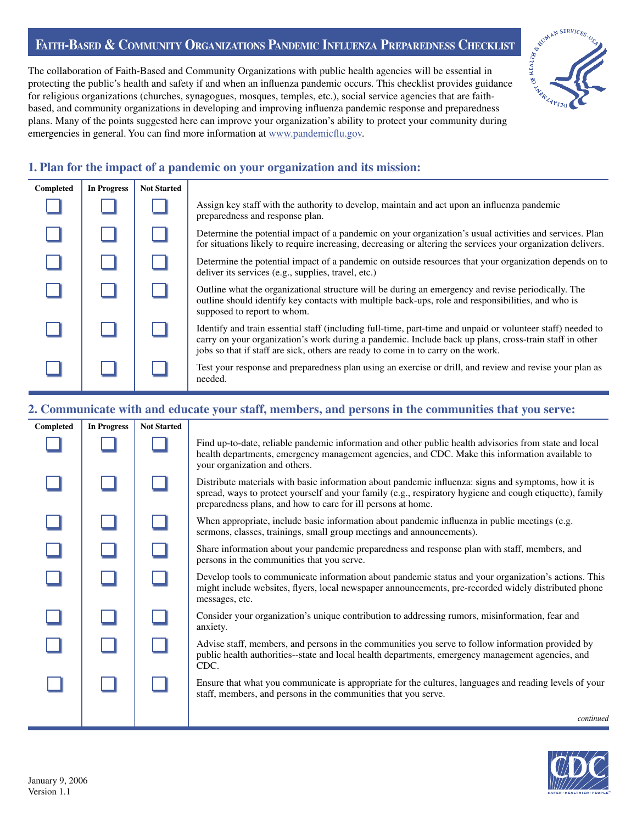# **FAITH-BASED & COMMUNITY ORGANIZATIONS PANDEMIC INFLUENZA PREPAREDNESS CHECKLIST**



The collaboration of Faith-Based and Community Organizations with public health agencies will be essential in protecting the public's health and safety if and when an influenza pandemic occurs. This checklist provides guidance for religious organizations (churches, synagogues, mosques, temples, etc.), social service agencies that are faithbased, and community organizations in developing and improving influenza pandemic response and preparedness plans. Many of the points suggested here can improve your organization's ability to protect your community during emergencies in general. You can find more information at www.pandemicflu.gov.

## **1. Plan for the impact of a pandemic on your organization and its mission:**

| Completed | <b>In Progress</b> | <b>Not Started</b> |
|-----------|--------------------|--------------------|
|           |                    |                    |
|           |                    |                    |
|           |                    |                    |
|           |                    |                    |
|           |                    |                    |
|           |                    |                    |

Assign key staff with the authority to develop, maintain and act upon an influenza pandemic preparedness and response plan.

Determine the potential impact of a pandemic on your organization's usual activities and services. Plan for situations likely to require increasing, decreasing or altering the services your organization delivers.

Determine the potential impact of a pandemic on outside resources that your organization depends on to deliver its services (e.g., supplies, travel, etc.)

Outline what the organizational structure will be during an emergency and revise periodically. The outline should identify key contacts with multiple back-ups, role and responsibilities, and who is supposed to report to whom.

Identify and train essential staff (including full-time, part-time and unpaid or volunteer staff) needed to carry on your organization's work during a pandemic. Include back up plans, cross-train staff in other jobs so that if staff are sick, others are ready to come in to carry on the work.

Test your response and preparedness plan using an exercise or drill, and review and revise your plan as needed.

### **2. Communicate with and educate your staff, members, and persons in the communities that you serve:**

| Completed | <b>In Progress</b> | <b>Not Started</b> |                                                                                                                                                                                                                                                                                 |
|-----------|--------------------|--------------------|---------------------------------------------------------------------------------------------------------------------------------------------------------------------------------------------------------------------------------------------------------------------------------|
|           |                    |                    | Find up-to-date, reliable pandemic information and other public health advisories from state and local<br>health departments, emergency management agencies, and CDC. Make this information available to<br>your organization and others.                                       |
|           |                    |                    | Distribute materials with basic information about pandemic influenza: signs and symptoms, how it is<br>spread, ways to protect yourself and your family (e.g., respiratory hygiene and cough etiquette), family<br>preparedness plans, and how to care for ill persons at home. |
|           |                    |                    | When appropriate, include basic information about pandemic influenza in public meetings (e.g.<br>sermons, classes, trainings, small group meetings and announcements).                                                                                                          |
|           |                    |                    | Share information about your pandemic preparedness and response plan with staff, members, and<br>persons in the communities that you serve.                                                                                                                                     |
|           |                    |                    | Develop tools to communicate information about pandemic status and your organization's actions. This<br>might include websites, flyers, local newspaper announcements, pre-recorded widely distributed phone<br>messages, etc.                                                  |
|           |                    |                    | Consider your organization's unique contribution to addressing rumors, misinformation, fear and<br>anxiety.                                                                                                                                                                     |
|           |                    |                    | Advise staff, members, and persons in the communities you serve to follow information provided by<br>public health authorities-state and local health departments, emergency management agencies, and<br>CDC.                                                                   |
|           |                    |                    | Ensure that what you communicate is appropriate for the cultures, languages and reading levels of your<br>staff, members, and persons in the communities that you serve.                                                                                                        |
|           |                    |                    | continued                                                                                                                                                                                                                                                                       |